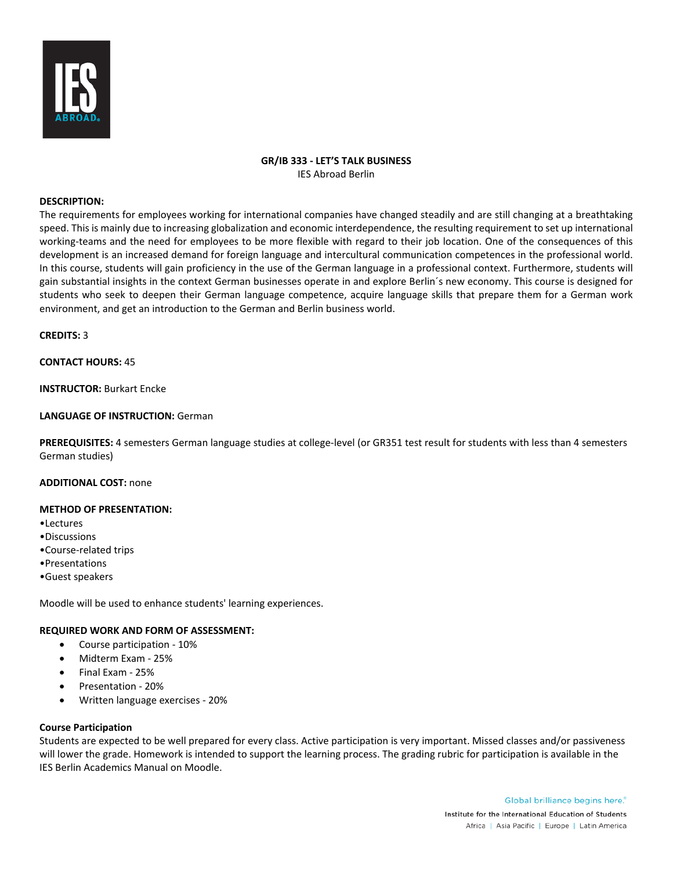

# **GR/IB 333 - LET'S TALK BUSINESS** IES Abroad Berlin

#### **DESCRIPTION:**

The requirements for employees working for international companies have changed steadily and are still changing at a breathtaking speed. This is mainly due to increasing globalization and economic interdependence, the resulting requirement to set up international working-teams and the need for employees to be more flexible with regard to their job location. One of the consequences of this development is an increased demand for foreign language and intercultural communication competences in the professional world. In this course, students will gain proficiency in the use of the German language in a professional context. Furthermore, students will gain substantial insights in the context German businesses operate in and explore Berlin´s new economy. This course is designed for students who seek to deepen their German language competence, acquire language skills that prepare them for a German work environment, and get an introduction to the German and Berlin business world.

**CREDITS:** 3

## **CONTACT HOURS:** 45

**INSTRUCTOR:** Burkart Encke

## **LANGUAGE OF INSTRUCTION:** German

**PREREQUISITES:** 4 semesters German language studies at college-level (or GR351 test result for students with less than 4 semesters German studies)

## **ADDITIONAL COST:** none

#### **METHOD OF PRESENTATION:**

- •Lectures
- •Discussions
- •Course-related trips
- •Presentations
- •Guest speakers

Moodle will be used to enhance students' learning experiences.

#### **REQUIRED WORK AND FORM OF ASSESSMENT:**

- Course participation 10%
- Midterm Exam 25%
- Final Exam 25%
- Presentation 20%
- Written language exercises 20%

#### **Course Participation**

Students are expected to be well prepared for every class. Active participation is very important. Missed classes and/or passiveness will lower the grade. Homework is intended to support the learning process. The grading rubric for participation is available in the IES Berlin Academics Manual on Moodle.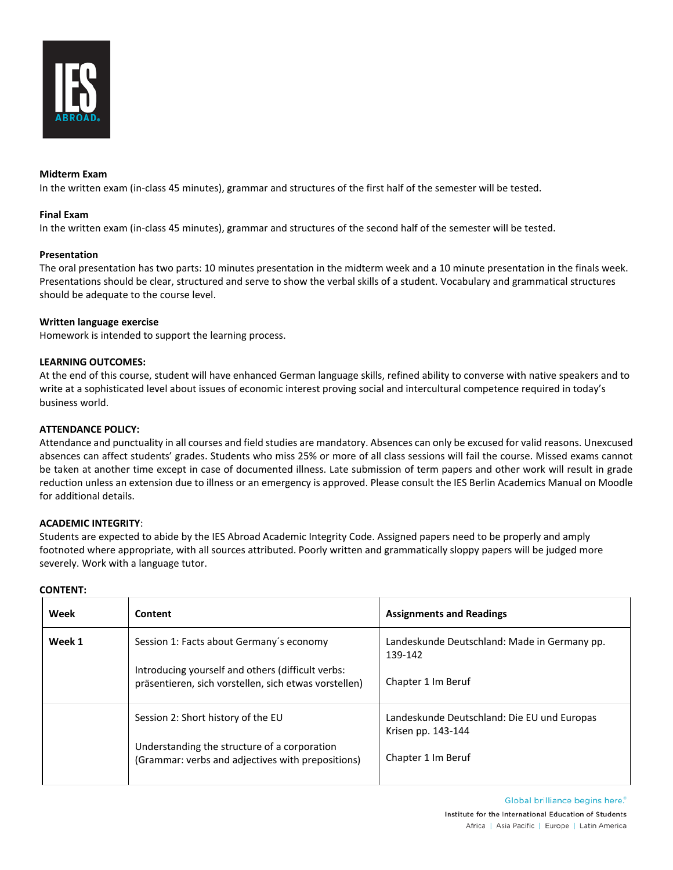

## **Midterm Exam**

In the written exam (in-class 45 minutes), grammar and structures of the first half of the semester will be tested.

#### **Final Exam**

In the written exam (in-class 45 minutes), grammar and structures of the second half of the semester will be tested.

## **Presentation**

The oral presentation has two parts: 10 minutes presentation in the midterm week and a 10 minute presentation in the finals week. Presentations should be clear, structured and serve to show the verbal skills of a student. Vocabulary and grammatical structures should be adequate to the course level.

#### **Written language exercise**

Homework is intended to support the learning process.

## **LEARNING OUTCOMES:**

At the end of this course, student will have enhanced German language skills, refined ability to converse with native speakers and to write at a sophisticated level about issues of economic interest proving social and intercultural competence required in today's business world.

## **ATTENDANCE POLICY:**

Attendance and punctuality in all courses and field studies are mandatory. Absences can only be excused for valid reasons. Unexcused absences can affect students' grades. Students who miss 25% or more of all class sessions will fail the course. Missed exams cannot be taken at another time except in case of documented illness. Late submission of term papers and other work will result in grade reduction unless an extension due to illness or an emergency is approved. Please consult the IES Berlin Academics Manual on Moodle for additional details.

## **ACADEMIC INTEGRITY**:

**CONTENT:**

Students are expected to abide by the IES Abroad Academic Integrity Code. Assigned papers need to be properly and amply footnoted where appropriate, with all sources attributed. Poorly written and grammatically sloppy papers will be judged more severely. Work with a language tutor.

| Week   | Content                                                                                                    | <b>Assignments and Readings</b>                                   |
|--------|------------------------------------------------------------------------------------------------------------|-------------------------------------------------------------------|
| Week 1 | Session 1: Facts about Germany's economy                                                                   | Landeskunde Deutschland: Made in Germany pp.<br>139-142           |
|        | Introducing yourself and others (difficult verbs:<br>präsentieren, sich vorstellen, sich etwas vorstellen) | Chapter 1 Im Beruf                                                |
|        | Session 2: Short history of the EU                                                                         | Landeskunde Deutschland: Die EU und Europas<br>Krisen pp. 143-144 |
|        | Understanding the structure of a corporation<br>(Grammar: verbs and adjectives with prepositions)          | Chapter 1 Im Beruf                                                |

Global brilliance begins here. Institute for the International Education of Students Africa | Asia Pacific | Europe | Latin America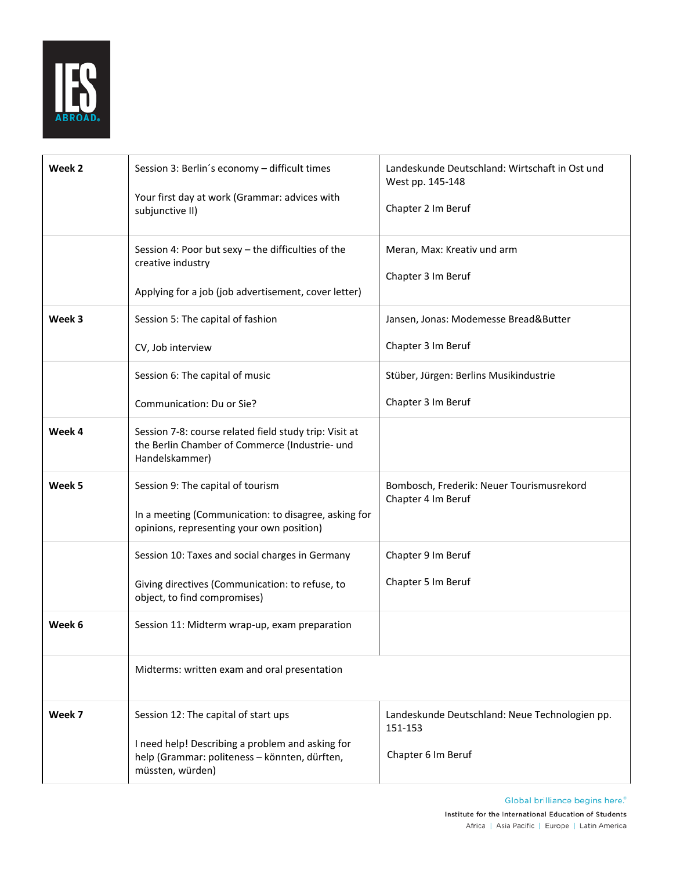

| Week 2 | Session 3: Berlin's economy - difficult times<br>Your first day at work (Grammar: advices with<br>subjunctive II)<br>Session 4: Poor but sexy - the difficulties of the<br>creative industry<br>Applying for a job (job advertisement, cover letter) | Landeskunde Deutschland: Wirtschaft in Ost und<br>West pp. 145-148<br>Chapter 2 Im Beruf<br>Meran, Max: Kreativ und arm<br>Chapter 3 Im Beruf |
|--------|------------------------------------------------------------------------------------------------------------------------------------------------------------------------------------------------------------------------------------------------------|-----------------------------------------------------------------------------------------------------------------------------------------------|
| Week 3 | Session 5: The capital of fashion<br>CV, Job interview                                                                                                                                                                                               | Jansen, Jonas: Modemesse Bread&Butter<br>Chapter 3 Im Beruf                                                                                   |
|        | Session 6: The capital of music<br>Communication: Du or Sie?                                                                                                                                                                                         | Stüber, Jürgen: Berlins Musikindustrie<br>Chapter 3 Im Beruf                                                                                  |
| Week 4 | Session 7-8: course related field study trip: Visit at<br>the Berlin Chamber of Commerce (Industrie- und<br>Handelskammer)                                                                                                                           |                                                                                                                                               |
| Week 5 | Session 9: The capital of tourism<br>In a meeting (Communication: to disagree, asking for<br>opinions, representing your own position)                                                                                                               | Bombosch, Frederik: Neuer Tourismusrekord<br>Chapter 4 Im Beruf                                                                               |
|        | Session 10: Taxes and social charges in Germany<br>Giving directives (Communication: to refuse, to<br>object, to find compromises)                                                                                                                   | Chapter 9 Im Beruf<br>Chapter 5 Im Beruf                                                                                                      |
| Week 6 | Session 11: Midterm wrap-up, exam preparation                                                                                                                                                                                                        |                                                                                                                                               |
|        | Midterms: written exam and oral presentation                                                                                                                                                                                                         |                                                                                                                                               |
| Week 7 | Session 12: The capital of start ups<br>I need help! Describing a problem and asking for<br>help (Grammar: politeness - könnten, dürften,<br>müssten, würden)                                                                                        | Landeskunde Deutschland: Neue Technologien pp.<br>151-153<br>Chapter 6 Im Beruf                                                               |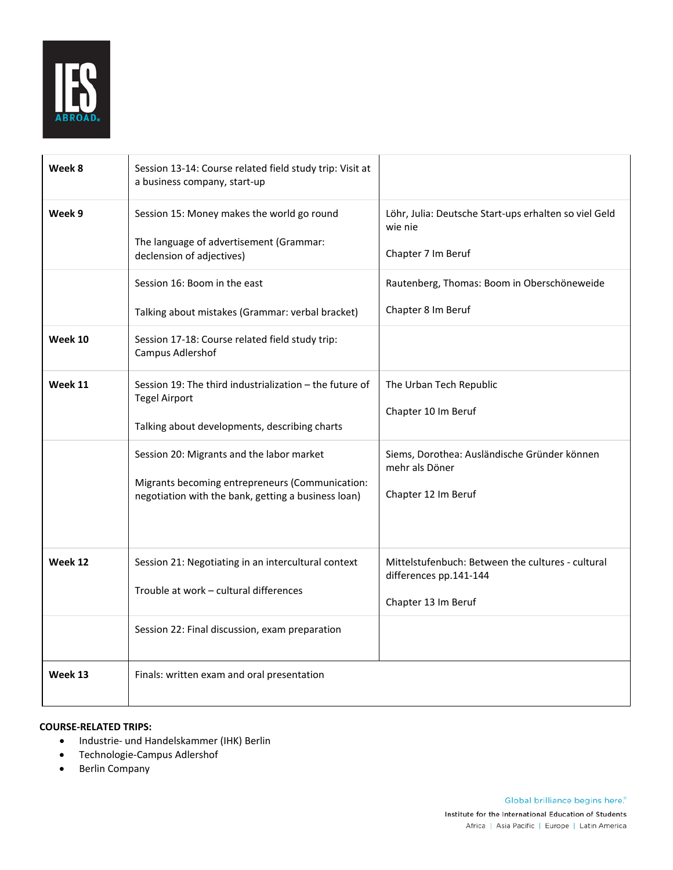

| Week 8  | Session 13-14: Course related field study trip: Visit at<br>a business company, start-up                                                            |                                                                                                    |
|---------|-----------------------------------------------------------------------------------------------------------------------------------------------------|----------------------------------------------------------------------------------------------------|
| Week 9  | Session 15: Money makes the world go round<br>The language of advertisement (Grammar:<br>declension of adjectives)                                  | Löhr, Julia: Deutsche Start-ups erhalten so viel Geld<br>wie nie<br>Chapter 7 Im Beruf             |
|         | Session 16: Boom in the east<br>Talking about mistakes (Grammar: verbal bracket)                                                                    | Rautenberg, Thomas: Boom in Oberschöneweide<br>Chapter 8 Im Beruf                                  |
| Week 10 | Session 17-18: Course related field study trip:<br>Campus Adlershof                                                                                 |                                                                                                    |
| Week 11 | Session 19: The third industrialization – the future of<br><b>Tegel Airport</b><br>Talking about developments, describing charts                    | The Urban Tech Republic<br>Chapter 10 Im Beruf                                                     |
|         | Session 20: Migrants and the labor market<br>Migrants becoming entrepreneurs (Communication:<br>negotiation with the bank, getting a business loan) | Siems, Dorothea: Ausländische Gründer können<br>mehr als Döner<br>Chapter 12 Im Beruf              |
| Week 12 | Session 21: Negotiating in an intercultural context<br>Trouble at work - cultural differences                                                       | Mittelstufenbuch: Between the cultures - cultural<br>differences pp.141-144<br>Chapter 13 Im Beruf |
|         | Session 22: Final discussion, exam preparation                                                                                                      |                                                                                                    |
| Week 13 | Finals: written exam and oral presentation                                                                                                          |                                                                                                    |

# **COURSE-RELATED TRIPS:**

- Industrie- und Handelskammer (IHK) Berlin
- Technologie-Campus Adlershof
- Berlin Company